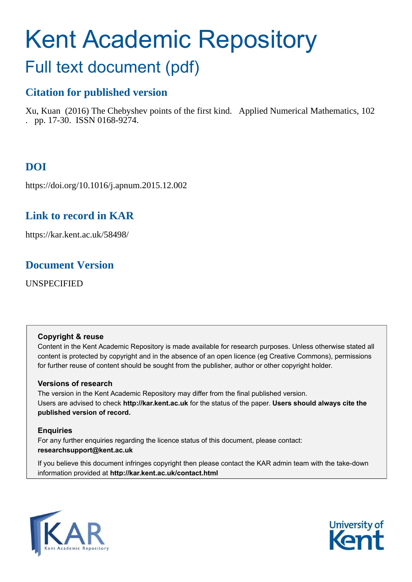# Kent Academic Repository Full text document (pdf)

# **Citation for published version**

Xu, Kuan (2016) The Chebyshev points of the first kind. Applied Numerical Mathematics, 102 . pp. 17-30. ISSN 0168-9274.

# **DOI**

https://doi.org/10.1016/j.apnum.2015.12.002

# **Link to record in KAR**

https://kar.kent.ac.uk/58498/

## **Document Version**

UNSPECIFIED

#### **Copyright & reuse**

Content in the Kent Academic Repository is made available for research purposes. Unless otherwise stated all content is protected by copyright and in the absence of an open licence (eg Creative Commons), permissions for further reuse of content should be sought from the publisher, author or other copyright holder.

#### **Versions of research**

The version in the Kent Academic Repository may differ from the final published version. Users are advised to check **http://kar.kent.ac.uk** for the status of the paper. **Users should always cite the published version of record.**

#### **Enquiries**

For any further enquiries regarding the licence status of this document, please contact: **researchsupport@kent.ac.uk**

If you believe this document infringes copyright then please contact the KAR admin team with the take-down information provided at **http://kar.kent.ac.uk/contact.html**



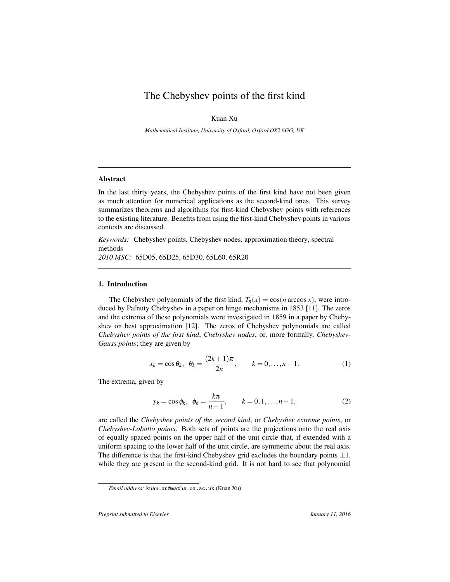### The Chebyshev points of the first kind

Kuan Xu

*Mathematical Institute, University of Oxford, Oxford OX2 6GG, UK*

#### Abstract

In the last thirty years, the Chebyshev points of the first kind have not been given as much attention for numerical applications as the second-kind ones. This survey summarizes theorems and algorithms for first-kind Chebyshev points with references to the existing literature. Benefits from using the first-kind Chebyshev points in various contexts are discussed.

*Keywords:* Chebyshev points, Chebyshev nodes, approximation theory, spectral methods

*2010 MSC:* 65D05, 65D25, 65D30, 65L60, 65R20

#### 1. Introduction

The Chebyshev polynomials of the first kind,  $T_n(x) = \cos(n \arccos x)$ , were introduced by Pafnuty Chebyshev in a paper on hinge mechanisms in 1853 [11]. The zeros and the extrema of these polynomials were investigated in 1859 in a paper by Chebyshev on best approximation [12]. The zeros of Chebyshev polynomials are called *Chebyshev points of the first kind*, *Chebyshev nodes*, or, more formally, *Chebyshev-Gauss points*; they are given by

$$
x_k = \cos \theta_k, \ \theta_k = \frac{(2k+1)\pi}{2n}, \qquad k = 0, \dots, n-1.
$$
 (1)

The extrema, given by

$$
y_k = \cos \phi_k, \ \phi_k = \frac{k\pi}{n-1}, \qquad k = 0, 1, \dots, n-1,
$$
 (2)

are called the *Chebyshev points of the second kind*, or *Chebyshev extreme points*, or *Chebyshev-Lobatto points*. Both sets of points are the projections onto the real axis of equally spaced points on the upper half of the unit circle that, if extended with a uniform spacing to the lower half of the unit circle, are symmetric about the real axis. The difference is that the first-kind Chebyshev grid excludes the boundary points  $\pm 1$ , while they are present in the second-kind grid. It is not hard to see that polynomial

*Email address:* kuan.xu@maths.ox.ac.uk (Kuan Xu)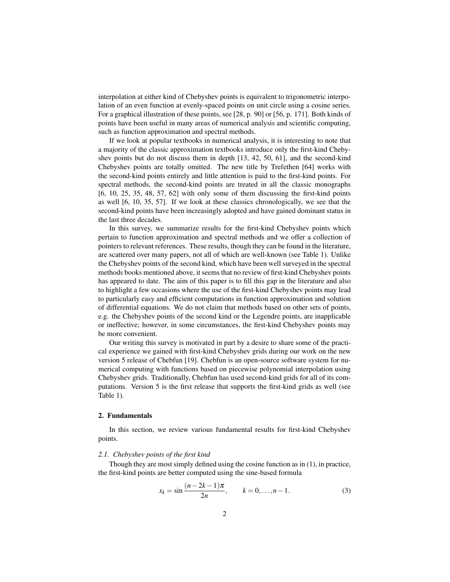interpolation at either kind of Chebyshev points is equivalent to trigonometric interpolation of an even function at evenly-spaced points on unit circle using a cosine series. For a graphical illustration of these points, see [28, p. 90] or [56, p. 171]. Both kinds of points have been useful in many areas of numerical analysis and scientific computing, such as function approximation and spectral methods.

If we look at popular textbooks in numerical analysis, it is interesting to note that a majority of the classic approximation textbooks introduce only the first-kind Chebyshev points but do not discuss them in depth [13, 42, 50, 61], and the second-kind Chebyshev points are totally omitted. The new title by Trefethen [64] works with the second-kind points entirely and little attention is paid to the first-kind points. For spectral methods, the second-kind points are treated in all the classic monographs [6, 10, 25, 35, 48, 57, 62] with only some of them discussing the first-kind points as well [6, 10, 35, 57]. If we look at these classics chronologically, we see that the second-kind points have been increasingly adopted and have gained dominant status in the last three decades.

In this survey, we summarize results for the first-kind Chebyshev points which pertain to function approximation and spectral methods and we offer a collection of pointers to relevant references. These results, though they can be found in the literature, are scattered over many papers, not all of which are well-known (see Table 1). Unlike the Chebyshev points of the second kind, which have been well surveyed in the spectral methods books mentioned above, it seems that no review of first-kind Chebyshev points has appeared to date. The aim of this paper is to fill this gap in the literature and also to highlight a few occasions where the use of the first-kind Chebyshev points may lead to particularly easy and efficient computations in function approximation and solution of differential equations. We do not claim that methods based on other sets of points, e.g. the Chebyshev points of the second kind or the Legendre points, are inapplicable or ineffective; however, in some circumstances, the first-kind Chebyshev points may be more convenient.

Our writing this survey is motivated in part by a desire to share some of the practical experience we gained with first-kind Chebyshev grids during our work on the new version 5 release of Chebfun [19]. Chebfun is an open-source software system for numerical computing with functions based on piecewise polynomial interpolation using Chebyshev grids. Traditionally, Chebfun has used second-kind grids for all of its computations. Version 5 is the first release that supports the first-kind grids as well (see Table 1).

#### 2. Fundamentals

In this section, we review various fundamental results for first-kind Chebyshev points.

#### *2.1. Chebyshev points of the first kind*

Though they are most simply defined using the cosine function as in (1), in practice, the first-kind points are better computed using the sine-based formula

$$
x_k = \sin \frac{(n - 2k - 1)\pi}{2n}, \qquad k = 0, \dots, n - 1.
$$
 (3)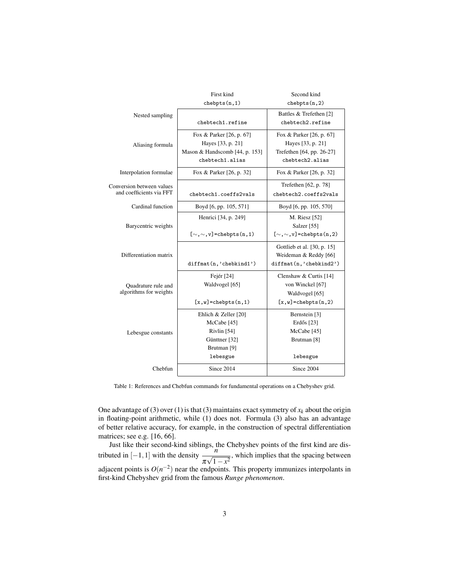| First kind                                            |                                                                                                                      | Second kind                                                                                   |  |
|-------------------------------------------------------|----------------------------------------------------------------------------------------------------------------------|-----------------------------------------------------------------------------------------------|--|
| chebts(n,1)                                           |                                                                                                                      | chebts(n,2)                                                                                   |  |
| Nested sampling                                       | chebtech1.refine                                                                                                     | Battles & Trefethen [2]<br>chebtech2.refine                                                   |  |
| Aliasing formula                                      | Fox & Parker [26, p. 67]<br>Hayes [33, p. 21]<br>Mason & Handscomb [44, p. 153]<br>chebtech1.alias                   | Fox & Parker [26, p. 67]<br>Hayes [33, p. 21]<br>Trefethen [64, pp. 26-27]<br>chebtech2.alias |  |
| Interpolation formulae                                | Fox & Parker [26, p. 32]                                                                                             | Fox & Parker [26, p. 32]                                                                      |  |
| Conversion between values<br>and coefficients via FFT | chebtech1.coeffs2vals                                                                                                | Trefethen [62, p. 78]<br>chebtech2.coeffs2vals                                                |  |
| Cardinal function                                     | Boyd [6, pp. 105, 571]                                                                                               | Boyd [6, pp. 105, 570]                                                                        |  |
| Barycentric weights                                   | Henrici [34, p. 249]<br>$[\sim,\sim,v]$ =chebpts(n,1)                                                                | M. Riesz [52]<br>Salzer [55]<br>$[\sim,\sim,v]$ =chebpts(n,2)                                 |  |
| Differentiation matrix                                | diffmat(n, 'chebkind1')                                                                                              | Gottlieb et al. [30, p. 15]<br>Weideman & Reddy [66]<br>diffmat(n,'chebkind2')                |  |
| Quadrature rule and<br>algorithms for weights         | Fejér $[24]$<br>Waldvogel [65]<br>$[x, w] =$ chebpts $(n, 1)$                                                        | Clenshaw & Curtis [14]<br>von Winckel [67]<br>Waldvogel [65]<br>$[x, w]$ =chebpts $(n, 2)$    |  |
| Lebesgue constants                                    | Ehlich & Zeller [20]<br>McCabe <sup>[45]</sup><br>Rivlin [54]<br>Günttner [32]<br>Brutman <sup>[9]</sup><br>lebesgue | Bernstein [3]<br>Erdős [23]<br>McCabe <sup>[45]</sup><br>Brutman <sup>[8]</sup><br>lebesgue   |  |
| Chebfun                                               | Since 2014                                                                                                           | Since 2004                                                                                    |  |

Table 1: References and Chebfun commands for fundamental operations on a Chebyshev grid.

One advantage of (3) over (1) is that (3) maintains exact symmetry of  $x_k$  about the origin in floating-point arithmetic, while (1) does not. Formula (3) also has an advantage of better relative accuracy, for example, in the construction of spectral differentiation matrices; see e.g. [16, 66].

Just like their second-kind siblings, the Chebyshev points of the first kind are dis-<br>tributed in [−1, 1] with the density  $\frac{n}{\pi\sqrt{1-x^2}}$ , which implies that the spacing between adjacent points is  $O(n^{-2})$  near the endpoints. This property immunizes interpolants in first-kind Chebyshev grid from the famous *Runge phenomenon*.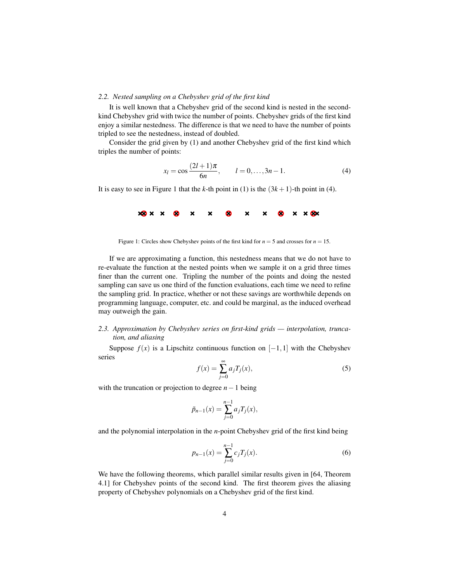#### *2.2. Nested sampling on a Chebyshev grid of the first kind*

It is well known that a Chebyshev grid of the second kind is nested in the secondkind Chebyshev grid with twice the number of points. Chebyshev grids of the first kind enjoy a similar nestedness. The difference is that we need to have the number of points tripled to see the nestedness, instead of doubled.

Consider the grid given by (1) and another Chebyshev grid of the first kind which triples the number of points:

$$
x_l = \cos \frac{(2l+1)\pi}{6n}, \qquad l = 0, \dots, 3n-1.
$$
 (4)

It is easy to see in Figure 1 that the *k*-th point in (1) is the  $(3k+1)$ -th point in (4).

 $30x - x$  $\times$   $\alpha$ 

Figure 1: Circles show Chebyshev points of the first kind for  $n = 5$  and crosses for  $n = 15$ .

If we are approximating a function, this nestedness means that we do not have to re-evaluate the function at the nested points when we sample it on a grid three times finer than the current one. Tripling the number of the points and doing the nested sampling can save us one third of the function evaluations, each time we need to refine the sampling grid. In practice, whether or not these savings are worthwhile depends on programming language, computer, etc. and could be marginal, as the induced overhead may outweigh the gain.

#### *2.3. Approximation by Chebyshev series on first-kind grids — interpolation, truncation, and aliasing*

Suppose  $f(x)$  is a Lipschitz continuous function on  $[-1,1]$  with the Chebyshev series

$$
f(x) = \sum_{j=0}^{\infty} a_j T_j(x),\tag{5}
$$

with the truncation or projection to degree *n*−1 being

$$
\tilde{p}_{n-1}(x) = \sum_{j=0}^{n-1} a_j T_j(x),
$$

and the polynomial interpolation in the *n*-point Chebyshev grid of the first kind being

$$
p_{n-1}(x) = \sum_{j=0}^{n-1} c_j T_j(x).
$$
 (6)

We have the following theorems, which parallel similar results given in [64, Theorem 4.1] for Chebyshev points of the second kind. The first theorem gives the aliasing property of Chebyshev polynomials on a Chebyshev grid of the first kind.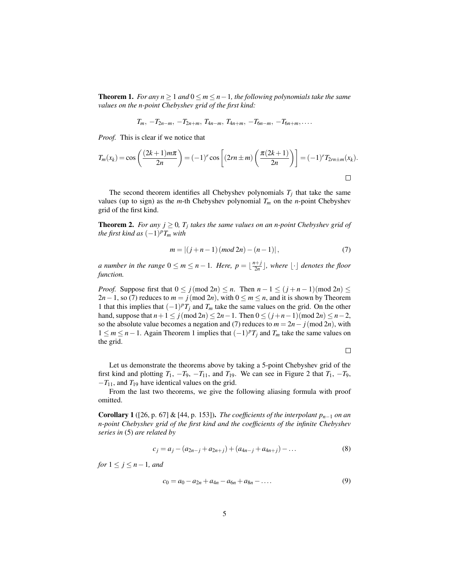**Theorem 1.** *For any*  $n \ge 1$  *and*  $0 \le m \le n-1$ *, the following polynomials take the same values on the n-point Chebyshev grid of the first kind:*

$$
T_m, -T_{2n-m}, -T_{2n+m}, T_{4n-m}, T_{4n+m}, -T_{6n-m}, -T_{6n+m}, \ldots
$$

*Proof.* This is clear if we notice that

$$
T_m(x_k) = \cos\left(\frac{(2k+1)m\pi}{2n}\right) = (-1)^r \cos\left[\left(2rn \pm m\right)\left(\frac{\pi(2k+1)}{2n}\right)\right] = (-1)^r T_{2rn \pm m}(x_k).
$$

The second theorem identifies all Chebyshev polynomials  $T_j$  that take the same values (up to sign) as the *m*-th Chebyshev polynomial  $T_m$  on the *n*-point Chebyshev grid of the first kind.

**Theorem 2.** *For any*  $j \geq 0$ *, T<sub>j</sub> takes the same values on an n-point Chebyshev grid of the first kind as* (−1) *<sup>p</sup>T<sup>m</sup> with*

$$
m = |(j + n - 1) (mod 2n) - (n - 1)|,
$$
\n(7)

*a* number in the range  $0 \le m \le n - 1$ . Here,  $p = \lfloor \frac{n+j}{2n} \rfloor$ , where  $\lfloor \cdot \rfloor$  denotes the floor *function.*

*Proof.* Suppose first that  $0 \le j \pmod{2n} \le n$ . Then  $n - 1 \le (j + n - 1) \pmod{2n} \le$ 2*n*−1, so (7) reduces to  $m = j \pmod{2n}$ , with  $0 \le m \le n$ , and it is shown by Theorem 1 that this implies that  $(-1)^pT_j$  and  $T_m$  take the same values on the grid. On the other hand, suppose that  $n + 1 \le j \pmod{2n} \le 2n - 1$ . Then  $0 \le (j + n - 1) \pmod{2n} \le n - 2$ , so the absolute value becomes a negation and (7) reduces to  $m = 2n - j \pmod{2n}$ , with 1 ≤ *m* ≤ *n* − 1. Again Theorem 1 implies that  $(-1)^pT_j$  and  $T_m$  take the same values on the grid.

 $\Box$ 

Let us demonstrate the theorems above by taking a 5-point Chebyshev grid of the first kind and plotting  $T_1$ ,  $-T_9$ ,  $-T_{11}$ , and  $T_{19}$ . We can see in Figure 2 that  $T_1$ ,  $-T_9$ , −*T*11, and *T*<sup>19</sup> have identical values on the grid.

From the last two theorems, we give the following aliasing formula with proof omitted.

**Corollary 1** ([26, p. 67] & [44, p. 153]). *The coefficients of the interpolant p<sub>n−1</sub> on an n-point Chebyshev grid of the first kind and the coefficients of the infinite Chebyshev series in* (5) *are related by*

$$
c_j = a_j - (a_{2n-j} + a_{2n+j}) + (a_{4n-j} + a_{4n+j}) - \dots
$$
\n(8)

*for*  $1 \leq j \leq n-1$ *, and* 

$$
c_0 = a_0 - a_{2n} + a_{4n} - a_{6n} + a_{8n} - \dots
$$
\n(9)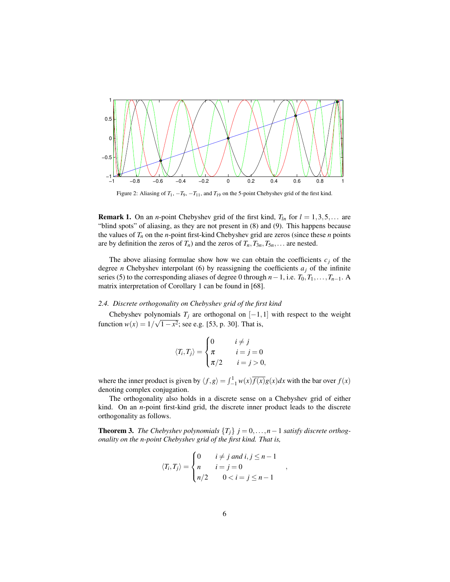

Figure 2: Aliasing of  $T_1$ ,  $-T_9$ ,  $-T_{11}$ , and  $T_{19}$  on the 5-point Chebyshev grid of the first kind.

**Remark 1.** On an *n*-point Chebyshev grid of the first kind,  $T_{ln}$  for  $l = 1,3,5,...$  are "blind spots" of aliasing, as they are not present in (8) and (9). This happens because the values of *T<sup>n</sup>* on the *n*-point first-kind Chebyshev grid are zeros (since these *n* points are by definition the zeros of  $T_n$ ) and the zeros of  $T_n, T_{3n}, T_{5n}, \ldots$  are nested.

The above aliasing formulae show how we can obtain the coefficients  $c_j$  of the degree *n* Chebyshev interpolant (6) by reassigning the coefficients  $a_j$  of the infinite series (5) to the corresponding aliases of degree 0 through  $n-1$ , i.e.  $T_0, T_1, \ldots, T_{n-1}$ . A matrix interpretation of Corollary 1 can be found in [68].

#### *2.4. Discrete orthogonality on Chebyshev grid of the first kind*

Chebyshev polynomials  $T_j$  are orthogonal on  $[-1,1]$  with respect to the weight function  $w(x) = 1/\sqrt{1-x^2}$ ; see e.g. [53, p. 30]. That is,

$$
\langle T_i, T_j \rangle = \begin{cases} 0 & i \neq j \\ \pi & i = j = 0 \\ \pi/2 & i = j > 0, \end{cases}
$$

where the inner product is given by  $\langle f, g \rangle = \int_{-1}^{1} w(x) \overline{f(x)} g(x) dx$  with the bar over  $f(x)$ denoting complex conjugation.

The orthogonality also holds in a discrete sense on a Chebyshev grid of either kind. On an *n*-point first-kind grid, the discrete inner product leads to the discrete orthogonality as follows.

**Theorem 3.** *The Chebyshev polynomials*  $\{T_j\}$  *j* = 0,...,*n* − 1 *satisfy discrete orthogonality on the n-point Chebyshev grid of the first kind. That is,*

$$
\langle T_i, T_j \rangle = \begin{cases} 0 & i \neq j \text{ and } i, j \leq n-1 \\ n & i = j = 0 \\ n/2 & 0 < i = j \leq n-1 \end{cases}
$$

,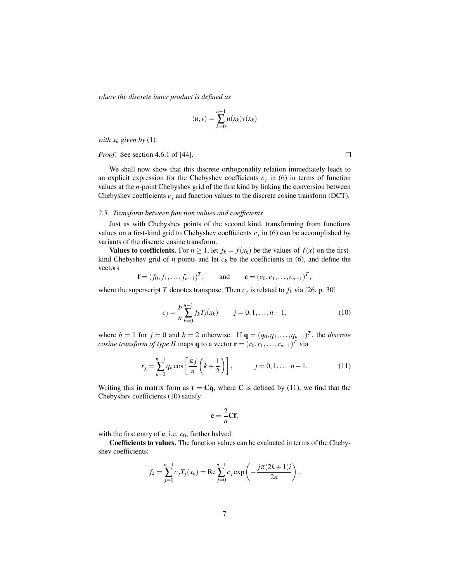*where the discrete inner product is defined as*

$$
\langle u, v \rangle = \sum_{k=0}^{n-1} u(x_k) v(x_k)
$$

*with*  $x_k$  *given by* (1).

*Proof.* See section 4.6.1 of [44].

We shall now show that this discrete orthogonality relation immediately leads to an explicit expression for the Chebyshev coefficients  $c_j$  in (6) in terms of function values at the *n*-point Chebyshev grid of the first kind by linking the conversion between Chebyshev coefficients  $c_j$  and function values to the discrete cosine transform (DCT).

#### *2.5. Transform between function values and coefficients*

Just as with Chebyshev points of the second kind, transforming from functions values on a first-kind grid to Chebyshev coefficients  $c_j$  in (6) can be accomplished by variants of the discrete cosine transform.

**Values to coefficients.** For  $n \geq 1$ , let  $f_k = f(x_k)$  be the values of  $f(x)$  on the firstkind Chebyshev grid of *n* points and let  $c_k$  be the coefficients in (6), and define the vectors

$$
f = (f_0, f_1, \dots, f_{n-1})^T
$$
, and  $c = (c_0, c_1, \dots, c_{n-1})^T$ ,

where the superscript *T* denotes transpose. Then  $c_j$  is related to  $f_k$  via [26, p. 30]

$$
c_j = \frac{b}{n} \sum_{k=0}^{n-1} f_k T_j(x_k) \qquad j = 0, 1, \dots, n-1,
$$
 (10)

where *b* = 1 for *j* = 0 and *b* = 2 otherwise. If  $\mathbf{q} = (q_0, q_1, \dots, q_{n-1})^T$ , the *discrete cosine transform of type II* maps **q** to a vector  $\mathbf{r} = (r_0, r_1, \dots, r_{n-1})^T$  via

$$
r_j = \sum_{k=0}^{n-1} q_k \cos\left[\frac{\pi j}{n} \left(k + \frac{1}{2}\right)\right], \qquad j = 0, 1, \dots, n-1.
$$
 (11)

Writing this in matrix form as  $\mathbf{r} = \mathbf{C}\mathbf{q}$ , where C is defined by (11), we find that the Chebyshev coefficients (10) satisfy

$$
\mathbf{c} = \frac{2}{n}\mathbf{C}\mathbf{f},
$$

with the first entry of **c**, i.e.  $c_0$ , further halved.

Coefficients to values. The function values can be evaluated in terms of the Chebyshev coefficients:

$$
f_k = \sum_{j=0}^{n-1} c_j T_j(x_k) = \text{Re} \sum_{j=0}^{n-1} c_j \exp \left(-\frac{j\pi(2k+1)i}{2n}\right).
$$

 $\Box$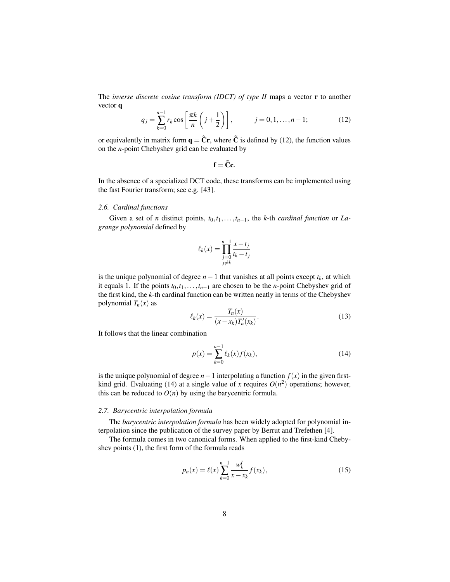The *inverse discrete cosine transform (IDCT) of type II* maps a vector r to another vector q

$$
q_j = \sum_{k=0}^{n-1} r_k \cos\left[\frac{\pi k}{n} \left(j + \frac{1}{2}\right)\right], \qquad j = 0, 1, \dots, n-1; \tag{12}
$$

or equivalently in matrix form  $q = \tilde{C}r$ , where  $\tilde{C}$  is defined by (12), the function values on the *n*-point Chebyshev grid can be evaluated by

 $f = \tilde{C}c$ .

In the absence of a specialized DCT code, these transforms can be implemented using the fast Fourier transform; see e.g. [43].

#### *2.6. Cardinal functions*

Given a set of *n* distinct points,  $t_0, t_1, \ldots, t_{n-1}$ , the *k*-th *cardinal function* or *Lagrange polynomial* defined by

$$
\ell_k(x) = \prod_{\substack{j=0 \ j \neq k}}^{n-1} \frac{x - t_j}{t_k - t_j}
$$

is the unique polynomial of degree  $n-1$  that vanishes at all points except  $t_k$ , at which it equals 1. If the points  $t_0, t_1, \ldots, t_{n-1}$  are chosen to be the *n*-point Chebyshev grid of the first kind, the *k*-th cardinal function can be written neatly in terms of the Chebyshev polynomial  $T_n(x)$  as

$$
\ell_k(x) = \frac{T_n(x)}{(x - x_k)T'_n(x_k)}.
$$
\n(13)

It follows that the linear combination

$$
p(x) = \sum_{k=0}^{n-1} \ell_k(x) f(x_k),
$$
\n(14)

is the unique polynomial of degree  $n-1$  interpolating a function  $f(x)$  in the given firstkind grid. Evaluating (14) at a single value of *x* requires  $O(n^2)$  operations; however, this can be reduced to  $O(n)$  by using the barycentric formula.

#### *2.7. Barycentric interpolation formula*

The *barycentric interpolation formula* has been widely adopted for polynomial interpolation since the publication of the survey paper by Berrut and Trefethen [4].

The formula comes in two canonical forms. When applied to the first-kind Chebyshev points (1), the first form of the formula reads

$$
p_n(x) = \ell(x) \sum_{k=0}^{n-1} \frac{w_k^l}{x - x_k} f(x_k),
$$
\n(15)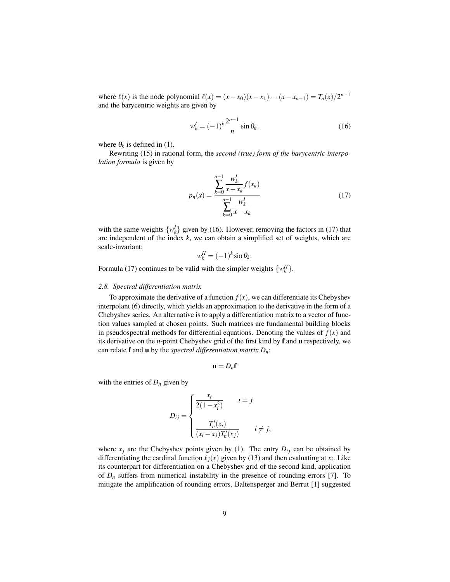where  $\ell(x)$  is the node polynomial  $\ell(x) = (x - x_0)(x - x_1) \cdots (x - x_{n-1}) = T_n(x)/2^{n-1}$ and the barycentric weights are given by

$$
w_k^I = (-1)^k \frac{2^{n-1}}{n} \sin \theta_k,
$$
 (16)

where  $\theta_k$  is defined in (1).

Rewriting (15) in rational form, the *second (true) form of the barycentric interpolation formula* is given by

$$
p_n(x) = \frac{\sum_{k=0}^{n-1} \frac{w_k^l}{x - x_k} f(x_k)}{\sum_{k=0}^{n-1} \frac{w_k^l}{x - x_k}}
$$
(17)

with the same weights  $\{w_k^I\}$  given by (16). However, removing the factors in (17) that are independent of the index *k*, we can obtain a simplified set of weights, which are scale-invariant:

$$
w_k^H = (-1)^k \sin \theta_k.
$$

Formula (17) continues to be valid with the simpler weights  $\{w_k^H\}$ .

#### *2.8. Spectral differentiation matrix*

To approximate the derivative of a function  $f(x)$ , we can differentiate its Chebyshev interpolant (6) directly, which yields an approximation to the derivative in the form of a Chebyshev series. An alternative is to apply a differentiation matrix to a vector of function values sampled at chosen points. Such matrices are fundamental building blocks in pseudospectral methods for differential equations. Denoting the values of  $f(x)$  and its derivative on the *n*-point Chebyshev grid of the first kind by f and u respectively, we can relate f and u by the *spectral differentiation matrix Dn*:

$$
\mathbf{u}=D_n\mathbf{f}
$$

with the entries of  $D_n$  given by

$$
D_{ij} = \begin{cases} \frac{x_i}{2(1-x_i^2)} & i = j \\ \frac{T'_n(x_i)}{(x_i-x_j)T'_n(x_j)} & i \neq j, \end{cases}
$$

where  $x_i$  are the Chebyshev points given by (1). The entry  $D_{ij}$  can be obtained by differentiating the cardinal function  $\ell_j(x)$  given by (13) and then evaluating at  $x_i$ . Like its counterpart for differentiation on a Chebyshev grid of the second kind, application of  $D_n$  suffers from numerical instability in the presence of rounding errors [7]. To mitigate the amplification of rounding errors, Baltensperger and Berrut [1] suggested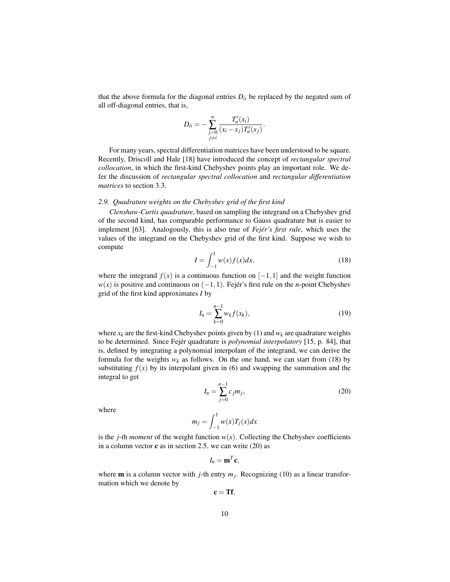that the above formula for the diagonal entries  $D_{ii}$  be replaced by the negated sum of all off-diagonal entries, that is,

$$
D_{ii} = -\sum_{\substack{j=0 \ j \neq i}}^{n} \frac{T'_n(x_i)}{(x_i - x_j)T'_n(x_j)}.
$$

For many years, spectral differentiation matrices have been understood to be square. Recently, Driscoll and Hale [18] have introduced the concept of *rectangular spectral collocation*, in which the first-kind Chebyshev points play an important role. We defer the discussion of *rectangular spectral collocation* and *rectangular differentiation matrices* to section 3.3.

#### *2.9. Quadrature weights on the Chebyshev grid of the first kind*

*Clenshaw-Curtis quadrature*, based on sampling the integrand on a Chebyshev grid of the second kind, has comparable performance to Gauss quadrature but is easier to implement [63]. Analogously, this is also true of *Fejér's first rule*, which uses the values of the integrand on the Chebyshev grid of the first kind. Suppose we wish to compute

$$
I = \int_{-1}^{1} w(x)f(x)dx,
$$
 (18)

where the integrand  $f(x)$  is a continuous function on  $[-1,1]$  and the weight function  $w(x)$  is positive and continuous on  $(-1,1)$ . Fejér's first rule on the *n*-point Chebyshev grid of the first kind approximates *I* by

$$
I_n = \sum_{k=0}^{n-1} w_k f(x_k),
$$
\n(19)

where  $x_k$  are the first-kind Chebyshev points given by (1) and  $w_k$  are quadrature weights to be determined. Since Fejér quadrature is *polynomial interpolatory* [15, p. 84], that is, defined by integrating a polynomial interpolant of the integrand, we can derive the formula for the weights  $w_k$  as follows. On the one hand, we can start from (18) by substituting  $f(x)$  by its interpolant given in (6) and swapping the summation and the integral to get

$$
I_n = \sum_{j=0}^{n-1} c_j m_j,
$$
\n(20)

where

$$
m_j = \int_{-1}^1 w(x) T_j(x) dx
$$

is the *j*-th *moment* of the weight function  $w(x)$ . Collecting the Chebyshev coefficients in a column vector c as in section 2.5, we can write (20) as

$$
I_n=\mathbf{m}^T\mathbf{c},
$$

where **m** is a column vector with *j*-th entry  $m_j$ . Recognizing (10) as a linear transformation which we denote by

 $c = Tf$ ,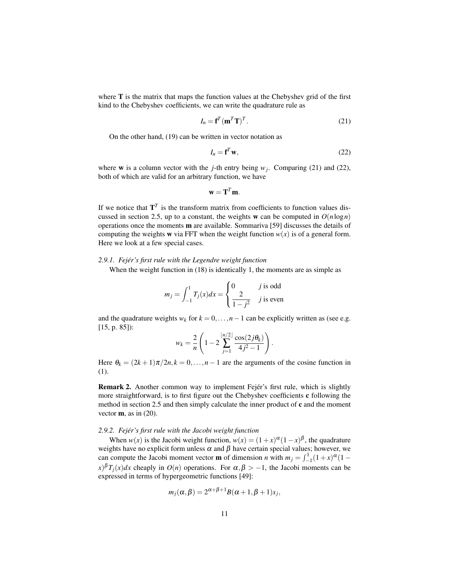where  **is the matrix that maps the function values at the Chebyshev grid of the first** kind to the Chebyshev coefficients, we can write the quadrature rule as

$$
I_n = \mathbf{f}^T (\mathbf{m}^T \mathbf{T})^T.
$$
 (21)

On the other hand, (19) can be written in vector notation as

$$
I_n = \mathbf{f}^T \mathbf{w},\tag{22}
$$

where **w** is a column vector with the *j*-th entry being  $w_j$ . Comparing (21) and (22), both of which are valid for an arbitrary function, we have

$$
\mathbf{w} = \mathbf{T}^T \mathbf{m}.
$$

If we notice that  $T<sup>T</sup>$  is the transform matrix from coefficients to function values discussed in section 2.5, up to a constant, the weights **w** can be computed in  $O(n \log n)$ operations once the moments m are available. Sommariva [59] discusses the details of computing the weights **w** via FFT when the weight function  $w(x)$  is of a general form. Here we look at a few special cases.

#### *2.9.1. Fejer's first rule with the Legendre weight function ´*

When the weight function in (18) is identically 1, the moments are as simple as

$$
m_j = \int_{-1}^{1} T_j(x) dx = \begin{cases} 0 & j \text{ is odd} \\ \frac{2}{1 - j^2} & j \text{ is even} \end{cases}
$$

and the quadrature weights  $w_k$  for  $k = 0, \ldots, n-1$  can be explicitly written as (see e.g. [15, p. 85]):

$$
w_k = \frac{2}{n} \left( 1 - 2 \sum_{j=1}^{\lfloor n/2 \rfloor} \frac{\cos(2j\theta_k)}{4j^2 - 1} \right).
$$

Here  $\theta_k = (2k+1)\pi/2n, k = 0,...,n-1$  are the arguments of the cosine function in (1).

Remark 2. Another common way to implement Fejér's first rule, which is slightly more straightforward, is to first figure out the Chebyshev coefficients c following the method in section 2.5 and then simply calculate the inner product of c and the moment vector **, as in (20).** 

#### *2.9.2. Fejer's first rule with the Jacobi weight function ´*

When *w*(*x*) is the Jacobi weight function,  $w(x) = (1+x)^{\alpha}(1-x)^{\beta}$ , the quadrature weights have no explicit form unless  $\alpha$  and  $\beta$  have certain special values; however, we can compute the Jacobi moment vector **m** of dimension *n* with  $m_j = \int_{-1}^{1} (1+x)^{\alpha} (1-x)^{j} dx$  $f(x)$ <sup> $\beta$ </sup>*T*<sub>*j*</sub>(*x*)*dx* cheaply in *O*(*n*) operations. For  $\alpha$ , $\beta$  > −1, the Jacobi moments can be expressed in terms of hypergeometric functions [49]:

$$
m_j(\alpha,\beta)=2^{\alpha+\beta+1}B(\alpha+1,\beta+1)s_j,
$$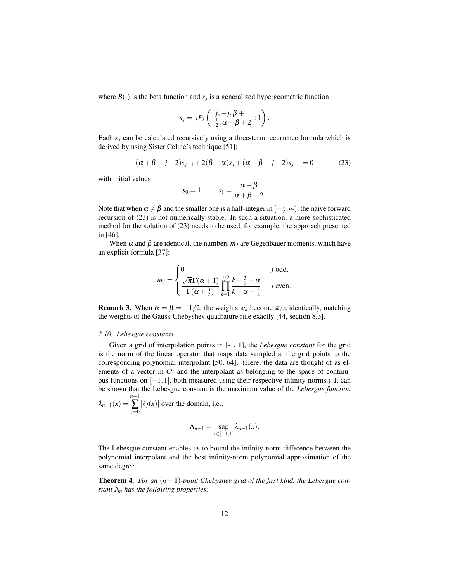where  $B(\cdot)$  is the beta function and  $s_j$  is a generalized hypergeometric function

$$
s_j = {}_3F_2\left(\begin{array}{c}j, -j, \beta+1\\ \frac{1}{2}, \alpha+\beta+2\end{array}; 1\right)
$$

Each  $s_j$  can be calculated recursively using a three-term recurrence formula which is derived by using Sister Celine's technique [51]:

$$
(\alpha + \beta + j + 2)s_{j+1} + 2(\beta - \alpha)s_j + (\alpha + \beta - j + 2)s_{j-1} = 0
$$
 (23)

.

with initial values

$$
s_0=1, \qquad s_1=\frac{\alpha-\beta}{\alpha+\beta+2}.
$$

Note that when  $\alpha \neq \beta$  and the smaller one is a half-integer in  $[-\frac{1}{2}, \infty)$ , the naive forward recursion of (23) is not numerically stable. In such a situation, a more sophisticated method for the solution of (23) needs to be used, for example, the approach presented in [46].

When  $\alpha$  and  $\beta$  are identical, the numbers  $m_i$  are Gegenbauer moments, which have an explicit formula [37]:

$$
m_j = \begin{cases} 0 & j \text{ odd,} \\ \frac{\sqrt{\pi} \Gamma(\alpha+1)}{\Gamma(\alpha+\frac{3}{2})} \prod_{k=1}^{j/2} \frac{k-\frac{3}{2}-\alpha}{k+\alpha+\frac{1}{2}} & j \text{ even.} \end{cases}
$$

**Remark 3.** When  $\alpha = \beta = -1/2$ , the weights  $w_k$  become  $\pi/n$  identically, matching the weights of the Gauss-Chebyshev quadrature rule exactly [44, section 8.3].

#### *2.10. Lebesgue constants*

Given a grid of interpolation points in [-1, 1], the *Lebesgue constant* for the grid is the norm of the linear operator that maps data sampled at the grid points to the corresponding polynomial interpolant [50, 64]. (Here, the data are thought of as elements of a vector in  $C<sup>n</sup>$  and the interpolant as belonging to the space of continuous functions on [−1,1], both measured using their respective infinity-norms.) It can be shown that the Lebesgue constant is the maximum value of the *Lebesgue function*

 $\lambda_{n-1}(x) =$  $\sum_{j=0}^{n-1} |\ell_j(x)|$  over the domain, i.e.,

$$
\Lambda_{n-1} = \sup_{x \in [-1,1]} \lambda_{n-1}(x).
$$

The Lebesgue constant enables us to bound the infinity-norm difference between the polynomial interpolant and the best infinity-norm polynomial approximation of the same degree.

**Theorem 4.** For an  $(n + 1)$ -point Chebyshev grid of the first kind, the Lebesgue con*stant* Λ*<sup>n</sup> has the following properties:*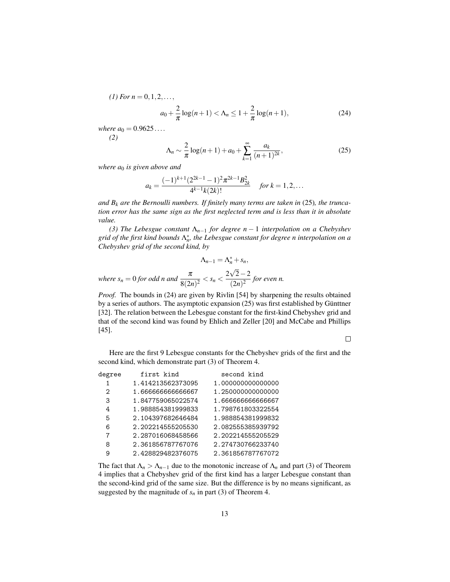*(1) For n* = 0, 1, 2, ...,

$$
a_0 + \frac{2}{\pi} \log(n+1) < \Lambda_n \le 1 + \frac{2}{\pi} \log(n+1),\tag{24}
$$

*where*  $a_0 = 0.9625...$ 

*(2)*

$$
\Lambda_n \sim \frac{2}{\pi} \log(n+1) + a_0 + \sum_{k=1}^{\infty} \frac{a_k}{(n+1)^{2k}},
$$
\n(25)

*where a*<sup>0</sup> *is given above and*

$$
a_k = \frac{(-1)^{k+1} (2^{2k-1} - 1)^2 \pi^{2k-1} B_{2k}^2}{4^{k-1} k(2k)!} \quad \text{for } k = 1, 2, \dots
$$

*and B<sup>k</sup> are the Bernoulli numbers. If finitely many terms are taken in* (25)*, the truncation error has the same sign as the first neglected term and is less than it in absolute value.*

*(3) The Lebesgue constant* Λ*n*−<sup>1</sup> *for degree n* − 1 *interpolation on a Chebyshev grid of the first kind bounds* Λ ∗ *n , the Lebesgue constant for degree n interpolation on a Chebyshev grid of the second kind, by*

$$
\Lambda_{n-1} = \Lambda_n^* + s_n,
$$
  
where  $s_n = 0$  for odd n and  $\frac{\pi}{8(2n)^2} < s_n < \frac{2\sqrt{2}-2}{(2n)^2}$  for even n.

*Proof.* The bounds in (24) are given by Rivlin [54] by sharpening the results obtained by a series of authors. The asymptotic expansion  $(25)$  was first established by Günttner [32]. The relation between the Lebesgue constant for the first-kind Chebyshev grid and that of the second kind was found by Ehlich and Zeller [20] and McCabe and Phillips [45].

Here are the first 9 Lebesgue constants for the Chebyshev grids of the first and the second kind, which demonstrate part (3) of Theorem 4.

| degree | first kind        | second kind       |
|--------|-------------------|-------------------|
|        | 1.414213562373095 | 1.00000000000000  |
| 2      | 1.66666666666667  | 1.25000000000000  |
| 3      | 1.847759065022574 | 1.66666666666667  |
| 4      | 1.988854381999833 | 1.798761803322554 |
| 5      | 2.104397682646484 | 1.988854381999832 |
| 6      | 2.202214555205530 | 2.082555385939792 |
|        | 2.287016068458566 | 2.202214555205529 |
| 8      | 2.361856787767076 | 2.274730766233740 |
| 9      | 2.428829482376075 | 2.361856787767072 |

The fact that  $\Lambda_n > \Lambda_{n-1}$  due to the monotonic increase of  $\Lambda_n$  and part (3) of Theorem 4 implies that a Chebyshev grid of the first kind has a larger Lebesgue constant than the second-kind grid of the same size. But the difference is by no means significant, as suggested by the magnitude of  $s_n$  in part (3) of Theorem 4.

 $\Box$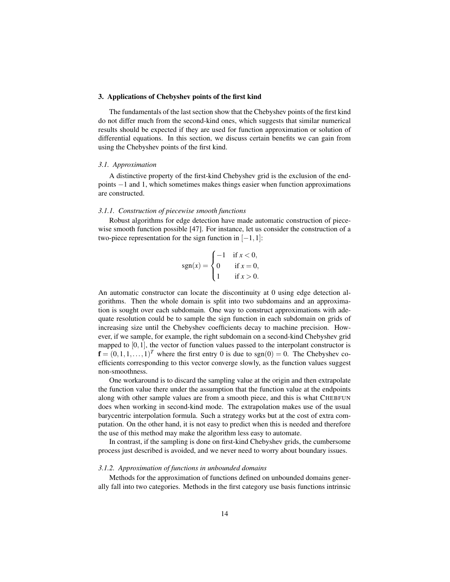#### 3. Applications of Chebyshev points of the first kind

The fundamentals of the last section show that the Chebyshev points of the first kind do not differ much from the second-kind ones, which suggests that similar numerical results should be expected if they are used for function approximation or solution of differential equations. In this section, we discuss certain benefits we can gain from using the Chebyshev points of the first kind.

#### *3.1. Approximation*

A distinctive property of the first-kind Chebyshev grid is the exclusion of the endpoints −1 and 1, which sometimes makes things easier when function approximations are constructed.

#### *3.1.1. Construction of piecewise smooth functions*

Robust algorithms for edge detection have made automatic construction of piecewise smooth function possible [47]. For instance, let us consider the construction of a two-piece representation for the sign function in  $[-1,1]$ :

$$
sgn(x) = \begin{cases} -1 & \text{if } x < 0, \\ 0 & \text{if } x = 0, \\ 1 & \text{if } x > 0. \end{cases}
$$

An automatic constructor can locate the discontinuity at 0 using edge detection algorithms. Then the whole domain is split into two subdomains and an approximation is sought over each subdomain. One way to construct approximations with adequate resolution could be to sample the sign function in each subdomain on grids of increasing size until the Chebyshev coefficients decay to machine precision. However, if we sample, for example, the right subdomain on a second-kind Chebyshev grid mapped to  $[0,1]$ , the vector of function values passed to the interpolant constructor is  $f = (0, 1, 1, \dots, 1)^T$  where the first entry 0 is due to sgn(0) = 0. The Chebyshev coefficients corresponding to this vector converge slowly, as the function values suggest non-smoothness.

One workaround is to discard the sampling value at the origin and then extrapolate the function value there under the assumption that the function value at the endpoints along with other sample values are from a smooth piece, and this is what CHEBFUN does when working in second-kind mode. The extrapolation makes use of the usual barycentric interpolation formula. Such a strategy works but at the cost of extra computation. On the other hand, it is not easy to predict when this is needed and therefore the use of this method may make the algorithm less easy to automate.

In contrast, if the sampling is done on first-kind Chebyshev grids, the cumbersome process just described is avoided, and we never need to worry about boundary issues.

#### *3.1.2. Approximation of functions in unbounded domains*

Methods for the approximation of functions defined on unbounded domains generally fall into two categories. Methods in the first category use basis functions intrinsic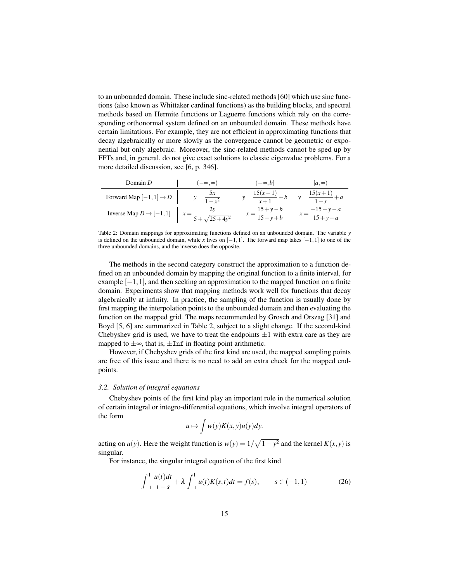to an unbounded domain. These include sinc-related methods [60] which use sinc functions (also known as Whittaker cardinal functions) as the building blocks, and spectral methods based on Hermite functions or Laguerre functions which rely on the corresponding orthonormal system defined on an unbounded domain. These methods have certain limitations. For example, they are not efficient in approximating functions that decay algebraically or more slowly as the convergence cannot be geometric or exponential but only algebraic. Moreover, the sinc-related methods cannot be sped up by FFTs and, in general, do not give exact solutions to classic eigenvalue problems. For a more detailed discussion, see [6, p. 346].

| Domain $D$                         | $-\infty, \infty)$     | $-\infty, b$                 | $ a,\infty)$                  |
|------------------------------------|------------------------|------------------------------|-------------------------------|
| Forward Map $[-1,1] \rightarrow D$ | $1 - r^2$              | $15(x-1)$                    | $15(x+1)$                     |
| Inverse Map $D \rightarrow [-1,1]$ | $5 + \sqrt{25 + 4y^2}$ | $15 + y - b$<br>$15 - v + b$ | $-15 + y - a$<br>$15 + v - a$ |

Table 2: Domain mappings for approximating functions defined on an unbounded domain. The variable *y* is defined on the unbounded domain, while *x* lives on  $[-1,1]$ . The forward map takes  $[-1,1]$  to one of the three unbounded domains, and the inverse does the opposite.

The methods in the second category construct the approximation to a function defined on an unbounded domain by mapping the original function to a finite interval, for example  $[-1,1]$ , and then seeking an approximation to the mapped function on a finite domain. Experiments show that mapping methods work well for functions that decay algebraically at infinity. In practice, the sampling of the function is usually done by first mapping the interpolation points to the unbounded domain and then evaluating the function on the mapped grid. The maps recommended by Grosch and Orszag [31] and Boyd [5, 6] are summarized in Table 2, subject to a slight change. If the second-kind Chebyshev grid is used, we have to treat the endpoints  $\pm 1$  with extra care as they are mapped to  $\pm \infty$ , that is,  $\pm$ Inf in floating point arithmetic.

However, if Chebyshev grids of the first kind are used, the mapped sampling points are free of this issue and there is no need to add an extra check for the mapped endpoints.

#### *3.2. Solution of integral equations*

Chebyshev points of the first kind play an important role in the numerical solution of certain integral or integro-differential equations, which involve integral operators of the form

$$
u \mapsto \int w(y)K(x,y)u(y)dy.
$$

acting on *u*(*y*). Here the weight function is  $w(y) = 1/\sqrt{1 - y^2}$  and the kernel  $K(x, y)$  is singular.

For instance, the singular integral equation of the first kind

$$
\int_{-1}^{1} \frac{u(t)dt}{t-s} + \lambda \int_{-1}^{1} u(t)K(s,t)dt = f(s), \qquad s \in (-1,1)
$$
 (26)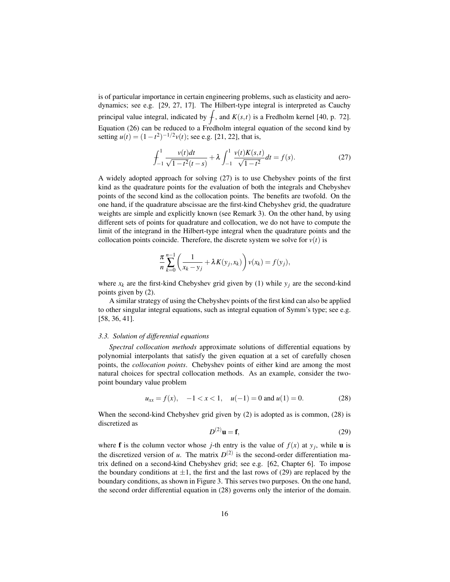is of particular importance in certain engineering problems, such as elasticity and aerodynamics; see e.g. [29, 27, 17]. The Hilbert-type integral is interpreted as Cauchy principal value integral, indicated by  $\neq$ , and  $K(s,t)$  is a Fredholm kernel [40, p. 72]. Equation (26) can be reduced to a Fredholm integral equation of the second kind by setting  $u(t) = (1 - t^2)^{-1/2} v(t)$ ; see e.g. [21, 22], that is,

$$
\int_{-1}^{1} \frac{\nu(t)dt}{\sqrt{1-t^2}(t-s)} + \lambda \int_{-1}^{1} \frac{\nu(t)K(s,t)}{\sqrt{1-t^2}} dt = f(s).
$$
 (27)

A widely adopted approach for solving (27) is to use Chebyshev points of the first kind as the quadrature points for the evaluation of both the integrals and Chebyshev points of the second kind as the collocation points. The benefits are twofold. On the one hand, if the quadrature abscissae are the first-kind Chebyshev grid, the quadrature weights are simple and explicitly known (see Remark 3). On the other hand, by using different sets of points for quadrature and collocation, we do not have to compute the limit of the integrand in the Hilbert-type integral when the quadrature points and the collocation points coincide. Therefore, the discrete system we solve for  $v(t)$  is

$$
\frac{\pi}{n} \sum_{k=0}^{n-1} \left( \frac{1}{x_k - y_j} + \lambda K(y_j, x_k) \right) v(x_k) = f(y_j),
$$

where  $x_k$  are the first-kind Chebyshev grid given by (1) while  $y_j$  are the second-kind points given by (2).

A similar strategy of using the Chebyshev points of the first kind can also be applied to other singular integral equations, such as integral equation of Symm's type; see e.g. [58, 36, 41].

#### *3.3. Solution of differential equations*

*Spectral collocation methods* approximate solutions of differential equations by polynomial interpolants that satisfy the given equation at a set of carefully chosen points, the *collocation points*. Chebyshev points of either kind are among the most natural choices for spectral collocation methods. As an example, consider the twopoint boundary value problem

$$
u_{xx} = f(x), -1 < x < 1, u(-1) = 0 \text{ and } u(1) = 0.
$$
 (28)

When the second-kind Chebyshev grid given by (2) is adopted as is common, (28) is discretized as

$$
D^{(2)}\mathbf{u} = \mathbf{f},\tag{29}
$$

where **f** is the column vector whose *j*-th entry is the value of  $f(x)$  at  $y_j$ , while **u** is the discretized version of *u*. The matrix  $D^{(2)}$  is the second-order differentiation matrix defined on a second-kind Chebyshev grid; see e.g. [62, Chapter 6]. To impose the boundary conditions at  $\pm 1$ , the first and the last rows of (29) are replaced by the boundary conditions, as shown in Figure 3. This serves two purposes. On the one hand, the second order differential equation in (28) governs only the interior of the domain.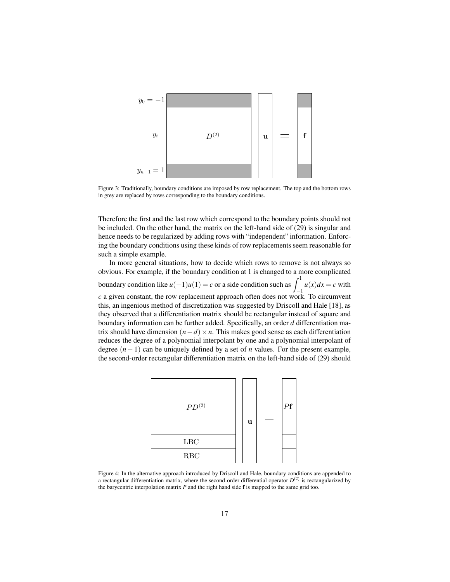

Figure 3: Traditionally, boundary conditions are imposed by row replacement. The top and the bottom rows in grey are replaced by rows corresponding to the boundary conditions.

Therefore the first and the last row which correspond to the boundary points should not be included. On the other hand, the matrix on the left-hand side of (29) is singular and hence needs to be regularized by adding rows with "independent" information. Enforcing the boundary conditions using these kinds of row replacements seem reasonable for such a simple example.

In more general situations, how to decide which rows to remove is not always so obvious. For example, if the boundary condition at 1 is changed to a more complicated boundary condition like  $u(-1)u(1) = c$  or a side condition such as  $\int_{-1}^{1}$  $u(x)dx = c$  with *c* a given constant, the row replacement approach often does not work. To circumvent this, an ingenious method of discretization was suggested by Driscoll and Hale [18], as they observed that a differentiation matrix should be rectangular instead of square and boundary information can be further added. Specifically, an order *d* differentiation matrix should have dimension  $(n - d) \times n$ . This makes good sense as each differentiation reduces the degree of a polynomial interpolant by one and a polynomial interpolant of degree  $(n-1)$  can be uniquely defined by a set of *n* values. For the present example, the second-order rectangular differentiation matrix on the left-hand side of (29) should



Figure 4: In the alternative approach introduced by Driscoll and Hale, boundary conditions are appended to a rectangular differentiation matrix, where the second-order differential operator  $D^{(2)}$  is rectangularized by the barycentric interpolation matrix *P* and the right hand side f is mapped to the same grid too.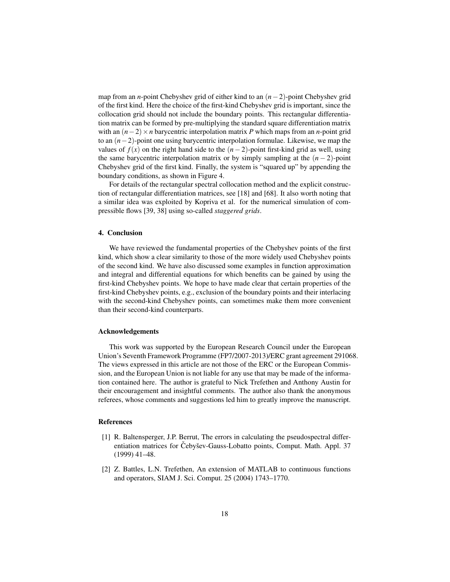map from an *n*-point Chebyshev grid of either kind to an (*n*−2)-point Chebyshev grid of the first kind. Here the choice of the first-kind Chebyshev grid is important, since the collocation grid should not include the boundary points. This rectangular differentiation matrix can be formed by pre-multiplying the standard square differentiation matrix with an  $(n-2) \times n$  barycentric interpolation matrix *P* which maps from an *n*-point grid to an (*n*−2)-point one using barycentric interpolation formulae. Likewise, we map the values of  $f(x)$  on the right hand side to the  $(n-2)$ -point first-kind grid as well, using the same barycentric interpolation matrix or by simply sampling at the  $(n-2)$ -point Chebyshev grid of the first kind. Finally, the system is "squared up" by appending the boundary conditions, as shown in Figure 4.

For details of the rectangular spectral collocation method and the explicit construction of rectangular differentiation matrices, see [18] and [68]. It also worth noting that a similar idea was exploited by Kopriva et al. for the numerical simulation of compressible flows [39, 38] using so-called *staggered grids*.

#### 4. Conclusion

We have reviewed the fundamental properties of the Chebyshev points of the first kind, which show a clear similarity to those of the more widely used Chebyshev points of the second kind. We have also discussed some examples in function approximation and integral and differential equations for which benefits can be gained by using the first-kind Chebyshev points. We hope to have made clear that certain properties of the first-kind Chebyshev points, e.g., exclusion of the boundary points and their interlacing with the second-kind Chebyshev points, can sometimes make them more convenient than their second-kind counterparts.

#### Acknowledgements

This work was supported by the European Research Council under the European Union's Seventh Framework Programme (FP7/2007-2013)/ERC grant agreement 291068. The views expressed in this article are not those of the ERC or the European Commission, and the European Union is not liable for any use that may be made of the information contained here. The author is grateful to Nick Trefethen and Anthony Austin for their encouragement and insightful comments. The author also thank the anonymous referees, whose comments and suggestions led him to greatly improve the manuscript.

#### References

- [1] R. Baltensperger, J.P. Berrut, The errors in calculating the pseudospectral differentiation matrices for Cebyšev-Gauss-Lobatto points, Comput. Math. Appl. 37 (1999) 41–48.
- [2] Z. Battles, L.N. Trefethen, An extension of MATLAB to continuous functions and operators, SIAM J. Sci. Comput. 25 (2004) 1743–1770.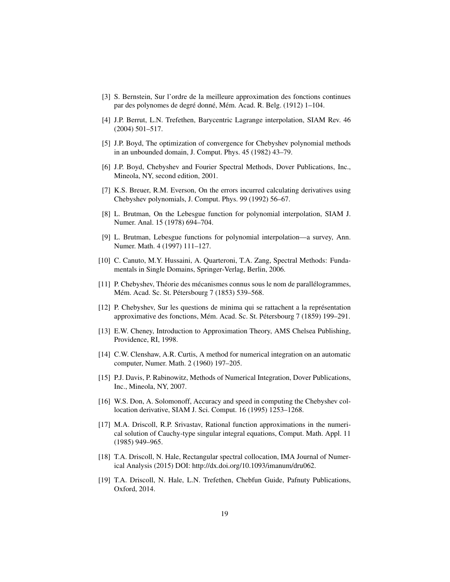- [3] S. Bernstein, Sur l'ordre de la meilleure approximation des fonctions continues par des polynomes de degré donné, Mém. Acad. R. Belg. (1912) 1-104.
- [4] J.P. Berrut, L.N. Trefethen, Barycentric Lagrange interpolation, SIAM Rev. 46 (2004) 501–517.
- [5] J.P. Boyd, The optimization of convergence for Chebyshev polynomial methods in an unbounded domain, J. Comput. Phys. 45 (1982) 43–79.
- [6] J.P. Boyd, Chebyshev and Fourier Spectral Methods, Dover Publications, Inc., Mineola, NY, second edition, 2001.
- [7] K.S. Breuer, R.M. Everson, On the errors incurred calculating derivatives using Chebyshev polynomials, J. Comput. Phys. 99 (1992) 56–67.
- [8] L. Brutman, On the Lebesgue function for polynomial interpolation, SIAM J. Numer. Anal. 15 (1978) 694–704.
- [9] L. Brutman, Lebesgue functions for polynomial interpolation—a survey, Ann. Numer. Math. 4 (1997) 111–127.
- [10] C. Canuto, M.Y. Hussaini, A. Quarteroni, T.A. Zang, Spectral Methods: Fundamentals in Single Domains, Springer-Verlag, Berlin, 2006.
- [11] P. Chebyshev, Théorie des mécanismes connus sous le nom de parallélogrammes, Mém. Acad. Sc. St. Pétersbourg 7 (1853) 539-568.
- [12] P. Chebyshev, Sur les questions de minima qui se rattachent a la représentation approximative des fonctions, Mém. Acad. Sc. St. Pétersbourg 7 (1859) 199–291.
- [13] E.W. Cheney, Introduction to Approximation Theory, AMS Chelsea Publishing, Providence, RI, 1998.
- [14] C.W. Clenshaw, A.R. Curtis, A method for numerical integration on an automatic computer, Numer. Math. 2 (1960) 197–205.
- [15] P.J. Davis, P. Rabinowitz, Methods of Numerical Integration, Dover Publications, Inc., Mineola, NY, 2007.
- [16] W.S. Don, A. Solomonoff, Accuracy and speed in computing the Chebyshev collocation derivative, SIAM J. Sci. Comput. 16 (1995) 1253–1268.
- [17] M.A. Driscoll, R.P. Srivastav, Rational function approximations in the numerical solution of Cauchy-type singular integral equations, Comput. Math. Appl. 11 (1985) 949–965.
- [18] T.A. Driscoll, N. Hale, Rectangular spectral collocation, IMA Journal of Numerical Analysis (2015) DOI: http://dx.doi.org/10.1093/imanum/dru062.
- [19] T.A. Driscoll, N. Hale, L.N. Trefethen, Chebfun Guide, Pafnuty Publications, Oxford, 2014.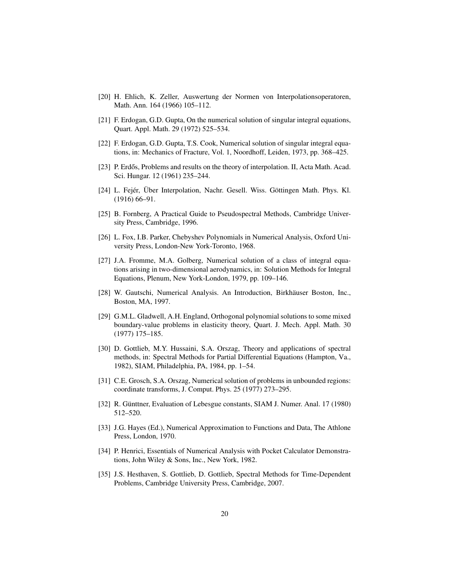- [20] H. Ehlich, K. Zeller, Auswertung der Normen von Interpolationsoperatoren, Math. Ann. 164 (1966) 105–112.
- [21] F. Erdogan, G.D. Gupta, On the numerical solution of singular integral equations, Quart. Appl. Math. 29 (1972) 525–534.
- [22] F. Erdogan, G.D. Gupta, T.S. Cook, Numerical solution of singular integral equations, in: Mechanics of Fracture, Vol. 1, Noordhoff, Leiden, 1973, pp. 368–425.
- [23] P. Erdős, Problems and results on the theory of interpolation. II, Acta Math. Acad. Sci. Hungar. 12 (1961) 235–244.
- [24] L. Fejér, Über Interpolation, Nachr. Gesell. Wiss. Göttingen Math. Phys. Kl. (1916) 66–91.
- [25] B. Fornberg, A Practical Guide to Pseudospectral Methods, Cambridge University Press, Cambridge, 1996.
- [26] L. Fox, I.B. Parker, Chebyshev Polynomials in Numerical Analysis, Oxford University Press, London-New York-Toronto, 1968.
- [27] J.A. Fromme, M.A. Golberg, Numerical solution of a class of integral equations arising in two-dimensional aerodynamics, in: Solution Methods for Integral Equations, Plenum, New York-London, 1979, pp. 109–146.
- [28] W. Gautschi, Numerical Analysis. An Introduction, Birkhäuser Boston, Inc., Boston, MA, 1997.
- [29] G.M.L. Gladwell, A.H. England, Orthogonal polynomial solutions to some mixed boundary-value problems in elasticity theory, Quart. J. Mech. Appl. Math. 30 (1977) 175–185.
- [30] D. Gottlieb, M.Y. Hussaini, S.A. Orszag, Theory and applications of spectral methods, in: Spectral Methods for Partial Differential Equations (Hampton, Va., 1982), SIAM, Philadelphia, PA, 1984, pp. 1–54.
- [31] C.E. Grosch, S.A. Orszag, Numerical solution of problems in unbounded regions: coordinate transforms, J. Comput. Phys. 25 (1977) 273–295.
- [32] R. Günttner, Evaluation of Lebesgue constants, SIAM J. Numer. Anal. 17 (1980) 512–520.
- [33] J.G. Hayes (Ed.), Numerical Approximation to Functions and Data, The Athlone Press, London, 1970.
- [34] P. Henrici, Essentials of Numerical Analysis with Pocket Calculator Demonstrations, John Wiley & Sons, Inc., New York, 1982.
- [35] J.S. Hesthaven, S. Gottlieb, D. Gottlieb, Spectral Methods for Time-Dependent Problems, Cambridge University Press, Cambridge, 2007.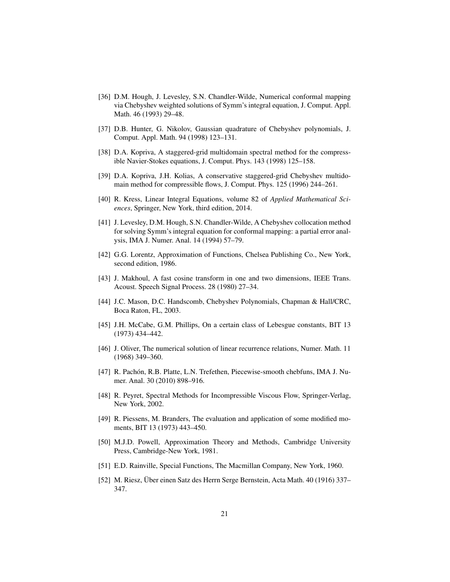- [36] D.M. Hough, J. Levesley, S.N. Chandler-Wilde, Numerical conformal mapping via Chebyshev weighted solutions of Symm's integral equation, J. Comput. Appl. Math. 46 (1993) 29–48.
- [37] D.B. Hunter, G. Nikolov, Gaussian quadrature of Chebyshev polynomials, J. Comput. Appl. Math. 94 (1998) 123–131.
- [38] D.A. Kopriva, A staggered-grid multidomain spectral method for the compressible Navier-Stokes equations, J. Comput. Phys. 143 (1998) 125–158.
- [39] D.A. Kopriva, J.H. Kolias, A conservative staggered-grid Chebyshev multidomain method for compressible flows, J. Comput. Phys. 125 (1996) 244–261.
- [40] R. Kress, Linear Integral Equations, volume 82 of *Applied Mathematical Sciences*, Springer, New York, third edition, 2014.
- [41] J. Levesley, D.M. Hough, S.N. Chandler-Wilde, A Chebyshev collocation method for solving Symm's integral equation for conformal mapping: a partial error analysis, IMA J. Numer. Anal. 14 (1994) 57–79.
- [42] G.G. Lorentz, Approximation of Functions, Chelsea Publishing Co., New York, second edition, 1986.
- [43] J. Makhoul, A fast cosine transform in one and two dimensions, IEEE Trans. Acoust. Speech Signal Process. 28 (1980) 27–34.
- [44] J.C. Mason, D.C. Handscomb, Chebyshev Polynomials, Chapman & Hall/CRC, Boca Raton, FL, 2003.
- [45] J.H. McCabe, G.M. Phillips, On a certain class of Lebesgue constants, BIT 13 (1973) 434–442.
- [46] J. Oliver, The numerical solution of linear recurrence relations, Numer. Math. 11 (1968) 349–360.
- [47] R. Pachón, R.B. Platte, L.N. Trefethen, Piecewise-smooth chebfuns, IMA J. Numer. Anal. 30 (2010) 898–916.
- [48] R. Peyret, Spectral Methods for Incompressible Viscous Flow, Springer-Verlag, New York, 2002.
- [49] R. Piessens, M. Branders, The evaluation and application of some modified moments, BIT 13 (1973) 443–450.
- [50] M.J.D. Powell, Approximation Theory and Methods, Cambridge University Press, Cambridge-New York, 1981.
- [51] E.D. Rainville, Special Functions, The Macmillan Company, New York, 1960.
- [52] M. Riesz, Über einen Satz des Herrn Serge Bernstein, Acta Math. 40 (1916) 337– 347.